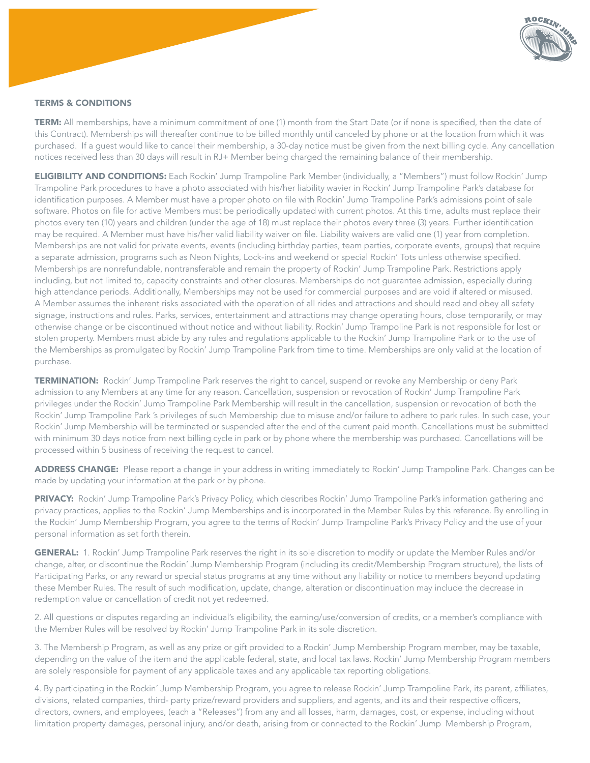

## TERMS & CONDITIONS

TERM: All memberships, have a minimum commitment of one (1) month from the Start Date (or if none is specified, then the date of this Contract). Memberships will thereafter continue to be billed monthly until canceled by phone or at the location from which it was purchased. If a guest would like to cancel their membership, a 30-day notice must be given from the next billing cycle. Any cancellation notices received less than 30 days will result in RJ+ Member being charged the remaining balance of their membership.

ELIGIBILITY AND CONDITIONS: Each Rockin' Jump Trampoline Park Member (individually, a "Members") must follow Rockin' Jump Trampoline Park procedures to have a photo associated with his/her liability wavier in Rockin' Jump Trampoline Park's database for identification purposes. A Member must have a proper photo on file with Rockin' Jump Trampoline Park's admissions point of sale software. Photos on file for active Members must be periodically updated with current photos. At this time, adults must replace their photos every ten (10) years and children (under the age of 18) must replace their photos every three (3) years. Further identification may be required. A Member must have his/her valid liability waiver on file. Liability waivers are valid one (1) year from completion. Memberships are not valid for private events, events (including birthday parties, team parties, corporate events, groups) that require a separate admission, programs such as Neon Nights, Lock-ins and weekend or special Rockin' Tots unless otherwise specified. Memberships are nonrefundable, nontransferable and remain the property of Rockin' Jump Trampoline Park. Restrictions apply including, but not limited to, capacity constraints and other closures. Memberships do not guarantee admission, especially during high attendance periods. Additionally, Memberships may not be used for commercial purposes and are void if altered or misused. A Member assumes the inherent risks associated with the operation of all rides and attractions and should read and obey all safety signage, instructions and rules. Parks, services, entertainment and attractions may change operating hours, close temporarily, or may otherwise change or be discontinued without notice and without liability. Rockin' Jump Trampoline Park is not responsible for lost or stolen property. Members must abide by any rules and regulations applicable to the Rockin' Jump Trampoline Park or to the use of the Memberships as promulgated by Rockin' Jump Trampoline Park from time to time. Memberships are only valid at the location of purchase.

TERMINATION: Rockin' Jump Trampoline Park reserves the right to cancel, suspend or revoke any Membership or deny Park admission to any Members at any time for any reason. Cancellation, suspension or revocation of Rockin' Jump Trampoline Park privileges under the Rockin' Jump Trampoline Park Membership will result in the cancellation, suspension or revocation of both the Rockin' Jump Trampoline Park 's privileges of such Membership due to misuse and/or failure to adhere to park rules. In such case, your Rockin' Jump Membership will be terminated or suspended after the end of the current paid month. Cancellations must be submitted with minimum 30 days notice from next billing cycle in park or by phone where the membership was purchased. Cancellations will be processed within 5 business of receiving the request to cancel.

ADDRESS CHANGE: Please report a change in your address in writing immediately to Rockin' Jump Trampoline Park. Changes can be made by updating your information at the park or by phone.

PRIVACY: Rockin' Jump Trampoline Park's Privacy Policy, which describes Rockin' Jump Trampoline Park's information gathering and privacy practices, applies to the Rockin' Jump Memberships and is incorporated in the Member Rules by this reference. By enrolling in the Rockin' Jump Membership Program, you agree to the terms of Rockin' Jump Trampoline Park's Privacy Policy and the use of your personal information as set forth therein.

GENERAL: 1. Rockin' Jump Trampoline Park reserves the right in its sole discretion to modify or update the Member Rules and/or change, alter, or discontinue the Rockin' Jump Membership Program (including its credit/Membership Program structure), the lists of Participating Parks, or any reward or special status programs at any time without any liability or notice to members beyond updating these Member Rules. The result of such modification, update, change, alteration or discontinuation may include the decrease in redemption value or cancellation of credit not yet redeemed.

2. All questions or disputes regarding an individual's eligibility, the earning/use/conversion of credits, or a member's compliance with the Member Rules will be resolved by Rockin' Jump Trampoline Park in its sole discretion.

3. The Membership Program, as well as any prize or gift provided to a Rockin' Jump Membership Program member, may be taxable, depending on the value of the item and the applicable federal, state, and local tax laws. Rockin' Jump Membership Program members are solely responsible for payment of any applicable taxes and any applicable tax reporting obligations.

4. By participating in the Rockin' Jump Membership Program, you agree to release Rockin' Jump Trampoline Park, its parent, affiliates, divisions, related companies, third- party prize/reward providers and suppliers, and agents, and its and their respective officers, directors, owners, and employees, (each a "Releases") from any and all losses, harm, damages, cost, or expense, including without limitation property damages, personal injury, and/or death, arising from or connected to the Rockin' Jump Membership Program,